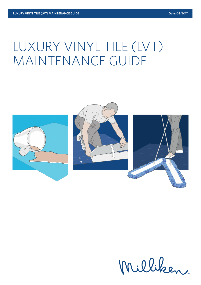# LUXURY VINYL TILE (LVT) MAINTENANCE GUIDE



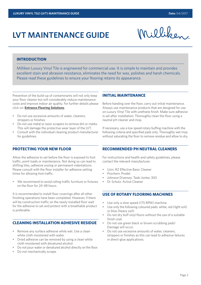# **LVT MAINTENANCE GUIDE**

Milliken

# **INTRODUCTION**

Milliken Luxury Vinyl Tile is engineered for commercial use. It is simple to maintain and provides excellent stain and abrasion resistance, eliminates the need for wax, polishes and harsh chemicals. Please read these guidelines to ensure your flooring retains its appearance.

Prevention of the build-up of contaminants will not only keep your floor cleaner but will considerably reduce maintenance costs and improve indoor air quality. For further details please click on: **[Entrance Flooring Solutions](http://www.millikencarpet.com/en-gb/products/Pages/Entrance%20Flooring%20Solutions.aspx)**

- Do not use excessive amounts of water, cleaners, strippers or finishes.
- Do not use metal or razor scrapers to remove dirt or marks. This will damage the protective wear layer of the LVT.
- Consult with the individual cleaning product manufacturer for guidelines.

## **PROTECTING YOUR NEW FLOOR**

Allow the adhesive to set before the floor is exposed to foot traffic, point loads or maintenance. Not doing so can lead to shifting tiles, adhesive oozing or permanent indentations. Please consult with the floor installer for adhesive setting times for allowing foot traffic.

We recommend to avoid rolling traffic furniture or fixtures on the floor for 24-48 hours.

It is recommended to install floor coverings after all other finishing operations have been completed. However, if there will be construction traffic on the newly installed floor wait for the adhesive to set and protect with a breathable product is preferable.

### **CLEANING INSTALLATION ADHESIVE RESIDUE**

- Remove any surface adhesive while wet. Use a clean white cloth moistened with water.
- Dried adhesive can be removed by using a clean white cloth moistened with denatured alcohol.
- Do not pour water or denatured alcohol directly on the floor.
- Do not mechanically scrape.

# **INITIAL MAINTENANCE**

Before handing over the floor, carry out initial maintenance. Always use maintenance products that are designed for use on Luxury Vinyl Tile with urethane finish. Make sure adhesive is set after installation. Thoroughly clean the floor using a neutral pH cleaner and mop.

If necessary, use a low speed rotary buffing machine with the following criteria and specified pads only. Thoroughly wet mop without saturating the floor to remove residue and allow to dry.

#### **RECOMMENDED PH NEUTRAL CLEANERS**

For instructions and health and safety guidelines, please contact the relevant manufacturer.

- Uzin: RZ Effective Basic Cleaner
- Prochem: Prodet
- Johnson Diversey: Taski Jontec 300
- Dr Schutz: Active Cleaner

# **USE OF ROTARY FLOORING MACHINES**

- Use only a slow speed (175 RPM) machine.
- Use only the following coloured pads: white, red (light soil) or blue (heavy soil)
- Do not dry buff vinyl floors without the use of a suitable finish coat.
- Do not use green black or brown scrubbing pads! Damage will occur.
- Do not use excessive amounts of water, cleaners, strippers or finishes as this can lead to adhesive failures in direct-glue applications.